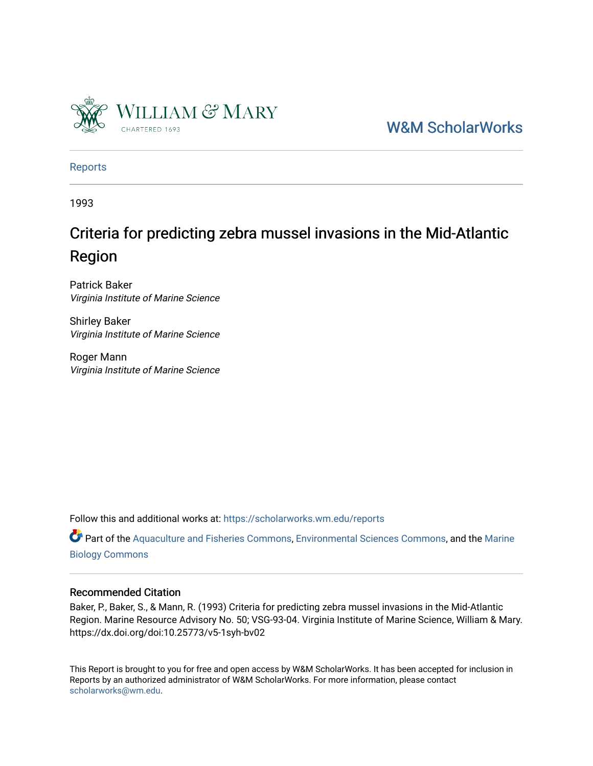

[W&M ScholarWorks](https://scholarworks.wm.edu/) 

[Reports](https://scholarworks.wm.edu/reports)

1993

## Criteria for predicting zebra mussel invasions in the Mid-Atlantic Region

Patrick Baker Virginia Institute of Marine Science

Shirley Baker Virginia Institute of Marine Science

Roger Mann Virginia Institute of Marine Science

Follow this and additional works at: [https://scholarworks.wm.edu/reports](https://scholarworks.wm.edu/reports?utm_source=scholarworks.wm.edu%2Freports%2F1139&utm_medium=PDF&utm_campaign=PDFCoverPages)

Part of the [Aquaculture and Fisheries Commons](http://network.bepress.com/hgg/discipline/78?utm_source=scholarworks.wm.edu%2Freports%2F1139&utm_medium=PDF&utm_campaign=PDFCoverPages), [Environmental Sciences Commons,](http://network.bepress.com/hgg/discipline/167?utm_source=scholarworks.wm.edu%2Freports%2F1139&utm_medium=PDF&utm_campaign=PDFCoverPages) and the [Marine](http://network.bepress.com/hgg/discipline/1126?utm_source=scholarworks.wm.edu%2Freports%2F1139&utm_medium=PDF&utm_campaign=PDFCoverPages) [Biology Commons](http://network.bepress.com/hgg/discipline/1126?utm_source=scholarworks.wm.edu%2Freports%2F1139&utm_medium=PDF&utm_campaign=PDFCoverPages)

#### Recommended Citation

Baker, P., Baker, S., & Mann, R. (1993) Criteria for predicting zebra mussel invasions in the Mid-Atlantic Region. Marine Resource Advisory No. 50; VSG-93-04. Virginia Institute of Marine Science, William & Mary. https://dx.doi.org/doi:10.25773/v5-1syh-bv02

This Report is brought to you for free and open access by W&M ScholarWorks. It has been accepted for inclusion in Reports by an authorized administrator of W&M ScholarWorks. For more information, please contact [scholarworks@wm.edu.](mailto:scholarworks@wm.edu)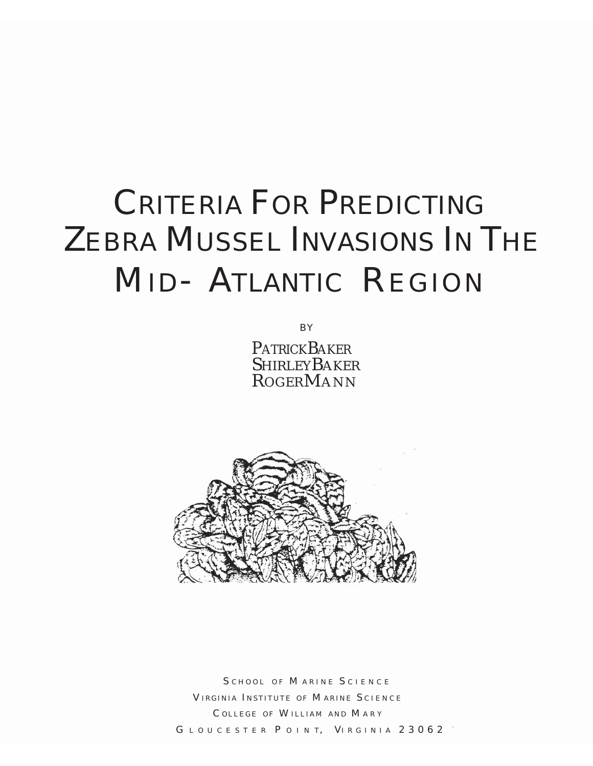# CRITERIA FOR PREDICTING ZEBRA MUSSEL INVASIONS IN THE MID- ATLANTIC REGION

BY

PATRICK BAKER **SHIRLEYBAKER ROGERMANN** 



SCHOOL OF MARINE SCIENCE VIRGINIA INSTITUTE OF MARINE SCIENCE C OLLEGE OF W ILLIAM AND M ARY GLOUCESTER POINT, VIRGINIA 23062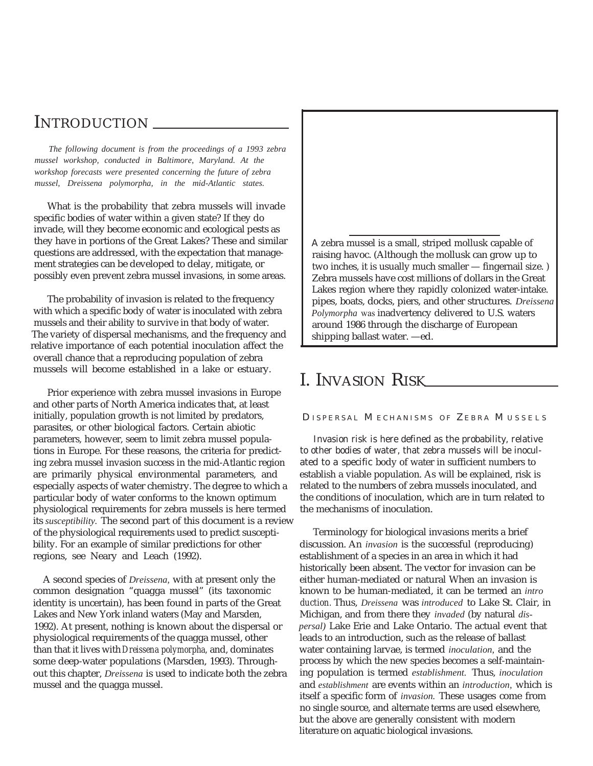## INTRODUCTION

*The following document is from the proceedings of a 1993 zebra mussel workshop, conducted in Baltimore, Maryland. At the workshop forecasts were presented concerning the future of zebra mussel, Dreissena polymorpha, in the mid-Atlantic states.*

What is the probability that zebra mussels will invade specific bodies of water within a given state? If they do invade, will they become economic and ecological pests as they have in portions of the Great Lakes? These and similar questions are addressed, with the expectation that management strategies can be developed to delay, mitigate, or possibly even prevent zebra mussel invasions, in some areas.

The probability of invasion is related to the frequency with which a specific body of water is inoculated with zebra mussels and their ability to survive in that body of water. The variety of dispersal mechanisms, and the frequency and relative importance of each potential inoculation affect the overall chance that a reproducing population of zebra mussels will become established in a lake or estuary.

Prior experience with zebra mussel invasions in Europe and other parts of North America indicates that, at least initially, population growth is not limited by predators, parasites, or other biological factors. Certain abiotic parameters, however, seem to limit zebra mussel populations in Europe. For these reasons, the criteria for predicting zebra mussel invasion success in the mid-Atlantic region are primarily physical environmental parameters, and especially aspects of water chemistry. The degree to which a particular body of water conforms to the known optimum physiological requirements for zebra mussels is here termed its *susceptibility.* The second part of this document is a review of the physiological requirements used to predict susceptibility. For an example of similar predictions for other regions, see Neary and Leach (1992).

A second species of *Dreissena,* with at present only the common designation "quagga mussel" (its taxonomic identity is uncertain), has been found in parts of the Great Lakes and New York inland waters (May and Marsden, 1992). At present, nothing is known about the dispersal or physiological requirements of the quagga mussel, other than that it lives with*Dreissena polymorpha,* and, dominates some deep-water populations (Marsden, 1993). Throughout this chapter, *Dreissena* is used to indicate both the zebra mussel and the quagga mussel.

A zebra mussel is a small, striped mollusk capable of raising havoc. (Although the mollusk can grow up to two inches, it is usually much smaller — fingernail size. ) Zebra mussels have cost millions of dollars in the Great Lakes region where they rapidly colonized water-intake. pipes, boats, docks, piers, and other structures. *Dreissena Polymorpha* was inadvertency delivered to U.S. waters around 1986 through the discharge of European shipping ballast water. —ed.

## I. INVASION RISK

D ISPERSAL M ECHANISMS OF Z EBRA M USSELS

Invasion risk is here defined as the probability, relative to other bodies of water, that zebra mussels will be inoculated to a specific body of water in sufficient numbers to establish a viable population. As will be explained, risk is related to the numbers of zebra mussels inoculated, and the conditions of inoculation, which are in turn related to the mechanisms of inoculation.

Terminology for biological invasions merits a brief discussion. An *invasion* is the successful (reproducing) establishment of a species in an area in which it had historically been absent. The vector for invasion can be either human-mediated or natural When an invasion is known to be human-mediated, it can be termed an *intro duction.* Thus, *Dreissena* was *introduced* to Lake St. Clair, in Michigan, and from there they *invaded* (by natural *dispersal)* Lake Erie and Lake Ontario. The actual event that leads to an introduction, such as the release of ballast water containing larvae, is termed *inoculation,* and the process by which the new species becomes a self-maintaining population is termed *establishment.* Thus, *inoculation* and *establishment* are events within an *introduction,* which is itself a specific form of *invasion.* These usages come from no single source, and alternate terms are used elsewhere, but the above are generally consistent with modernliterature on aquatic biological invasions.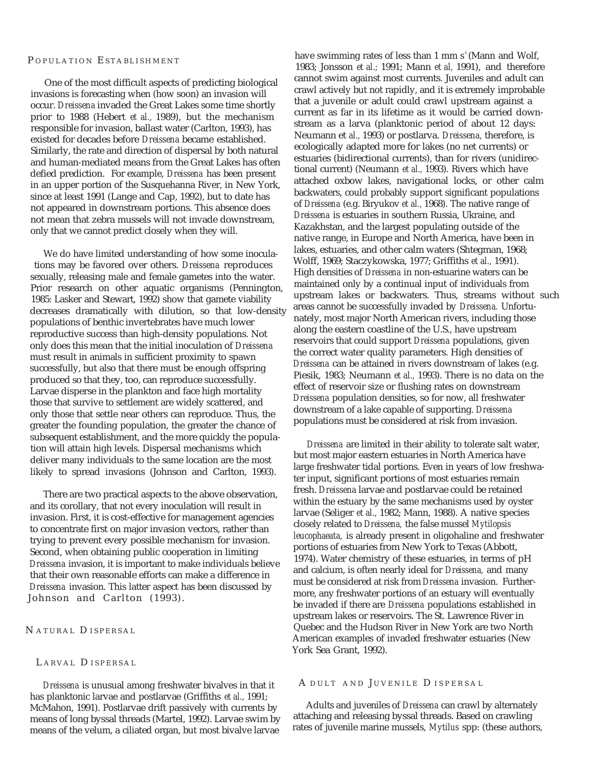#### P OPULATION E STABLISHMENT

One of the most difficult aspects of predicting biological invasions is forecasting when (how soon) an invasion will occur. *Dreissena* invaded the Great Lakes some time shortly prior to 1988 (Hebert *et al.,* 1989), but the mechanism responsible for invasion, ballast water (Carlton, 1993), has existed for decades before *Dreissena* became established. Similarly, the rate and direction of dispersal by both natural and human-mediated means from the Great Lakes has often defied prediction. For example, *Dreissena* has been present in an upper portion of the Susquehanna River, in New York, since at least 1991 (Lange and Cap, 1992), but to date has not appeared in downstream portions. This absence does not mean that zebra mussels will not invade downstream, only that we cannot predict closely when they will.

We do have limited understanding of how some inoculations may be favored over others. *Dreissena* reproduces sexually, releasing male and female gametes into the water. Prior research on other aquatic organisms (Pennington, 1985: Lasker and Stewart, 1992) show that gamete viability decreases dramatically with dilution, so that low-density populations of benthic invertebrates have much lower reproductive success than high-density populations. Not only does this mean that the initial inoculation of *Dreissena* must result in animals in sufficient proximity to spawn successfully, but also that there must be enough offspring produced so that they, too, can reproduce successfully. Larvae disperse in the plankton and face high mortality those that survive to settlement are widely scattered, and only those that settle near others can reproduce. Thus, the greater the founding population, the greater the chance of subsequent establishment, and the more quickly the population will attain high levels. Dispersal mechanisms which deliver many individuals to the same location are the most likely to spread invasions (Johnson and Carlton, 1993).

There are two practical aspects to the above observation, and its corollary, that not every inoculation will result in invasion. First, it is cost-effective for management agencies to concentrate first on major invasion vectors, rather than trying to prevent every possible mechanism for invasion. Second, when obtaining public cooperation in limiting *Dreissena* invasion, it is important to make individuals believe that their own reasonable efforts can make a difference in *Dreissena* invasion. This latter aspect has been discussed by Johnson and Carlton (1993).

#### N ATURAL D ISPERSAL

#### L ARVAL D ISPERSAL

*Dreissena* is unusual among freshwater bivalves in that it has planktonic larvae and postlarvae (Griffiths *et al.,* 1991; McMahon, 1991). Postlarvae drift passively with currents by means of long byssal threads (Martel, 1992). Larvae swim by means of the velum, a ciliated organ, but most bivalve larvae

have swimming rates of less than 1 mm  $s^1$  (Mann and Wolf, 1983; Jonsson *et al.;* 1991; Mann *et al,* 1991), and therefore cannot swim against most currents. Juveniles and adult can crawl actively but not rapidly, and it is extremely improbable that a juvenile or adult could crawl upstream against a current as far in its lifetime as it would be carried downstream as a larva (planktonic period of about 12 days: Neumann et *al.,* 1993) or postlarva. *Dreissena,* therefore, is ecologically adapted more for lakes (no net currents) or estuaries (bidirectional currents), than for rivers (unidirectional current) (Neumann *et al.,* 1993). Rivers which have attached oxbow lakes, navigational locks, or other calm backwaters, could probably support significant populations of *Dreissena* (e.g. Biryukov *et al.,* 1968). The native range of *Dreissena* is estuaries in southern Russia, Ukraine, and Kazakhstan, and the largest populating outside of the native range, in Europe and North America, have been in lakes, estuaries, and other calm waters (Shtegman, 1968; Wolff, 1969; Staczykowska, 1977; Griffiths *et al.,* 1991). High densities of *Dreissena* in non-estuarine waters can be maintained only by a continual input of individuals from upstream lakes or backwaters. Thus, streams without such areas cannot be successfully invaded by *Dreissena.* Unfortunately, most major North American rivers, including those along the eastern coastline of the U.S., have upstream reservoirs that could support *Dreissena* populations, given the correct water quality parameters. High densities of *Dreissena* can be attained in rivers downstream of lakes (e.g. Piesik, 1983; Neumann *et al.,* 1993). There is no data on the effect of reservoir size or flushing rates on downstream *Dreissena* population densities, so for now, all freshwater downstream of a lake capable of supporting. *Dreissena* populations must be considered at risk from invasion.

*Dreissena* are limited in their ability to tolerate salt water, but most major eastern estuaries in North America have large freshwater tidal portions. Even in years of low freshwater input, significant portions of most estuaries remain fresh. *Dreissena* larvae and postlarvae could be retained within the estuary by the same mechanisms used by oyster larvae (Seliger *et al.,* 1982; Mann, 1988). A native species closely related to *Dreissena,* the false mussel *Mytilopsis leucophaeata,* is already present in oligohaline and freshwater portions of estuaries from New York to Texas (Abbott, 1974). Water chemistry of these estuaries, in terms of pH and calcium, is often nearly ideal for *Dreissena,* and many must be considered at risk from *Dreissena* invasion. Furthermore, any freshwater portions of an estuary will eventually be invaded if there are *Dreissena* populations established in upstream lakes or reservoirs. The St. Lawrence River in Quebec and the Hudson River in New York are two North American examples of invaded freshwater estuaries (New York Sea Grant, 1992).

#### A DULT AND JUVENILE DISPERSAL

Adults and juveniles of *Dreissena* can crawl by alternately attaching and releasing byssal threads. Based on crawling rates of juvenile marine mussels, *Mytilus* spp: (these authors,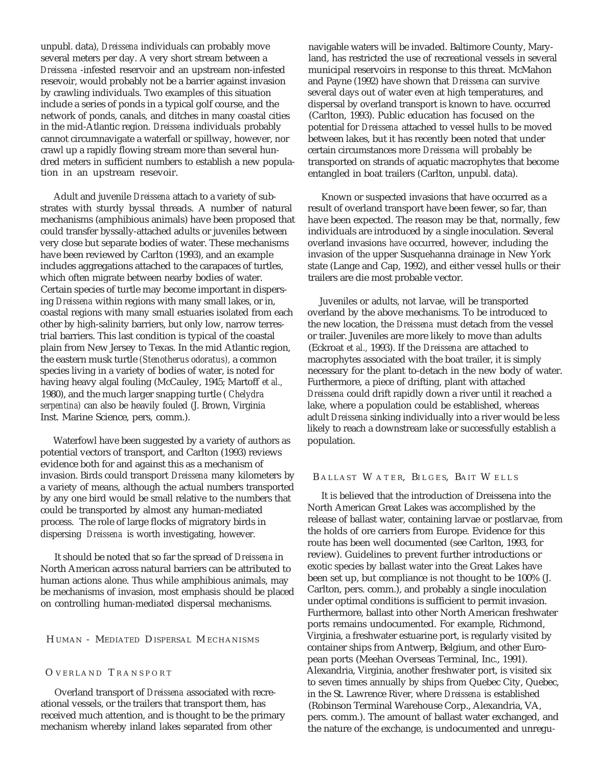unpubl. data), *Dreissena* individuals can probably move several meters per day. A very short stream between a *Dreissena* -infested reservoir and an upstream non-infested resevoir, would probably not be a barrier against invasion by crawling individuals. Two examples of this situation include a series of ponds in a typical golf course, and the network of ponds, canals, and ditches in many coastal cities in the mid-Atlantic region. *Dreissena* individuals probably cannot circumnavigate a waterfall or spillway, however, nor crawl up a rapidly flowing stream more than several hundred meters in sufficient numbers to establish a new population in an upstream resevoir.

Adult and juvenile *Dreissena* attach to a variety of substrates with sturdy byssal threads. A number of natural mechanisms (amphibious animals) have been proposed that could transfer byssally-attached adults or juveniles between very close but separate bodies of water. These mechanisms have been reviewed by Carlton (1993), and an example includes aggregations attached to the carapaces of turtles, which often migrate between nearby bodies of water. Certain species of turtle may become important in dispersing *Dreissena* within regions with many small lakes, or in, coastal regions with many small estuaries isolated from each other by high-salinity barriers, but only low, narrow terrestrial barriers. This last condition is typical of the coastal plain from New Jersey to Texas. In the mid Atlantic region, the eastern musk turtle *(Stenotherus odoratus),* a common species living in a variety of bodies of water, is noted for having heavy algal fouling (McCauley, 1945; Martoff *et al.,* 1980), and the much larger snapping turtle ( *Chelydra serpentina)* can also be heavily fouled (J. Brown, Virginia Inst. Marine Science, pers, comm.).

Waterfowl have been suggested by a variety of authors as potential vectors of transport, and Carlton (1993) reviews evidence both for and against this as a mechanism of invasion. Birds could transport *Dreissena* many kilometers by a variety of means, although the actual numbers transported by any one bird would be small relative to the numbers that could be transported by almost any human-mediated process. The role of large flocks of migratory birds in dispersing *Dreissena* is worth investigating, however.

It should be noted that so far the spread of *Dreissena* in North American across natural barriers can be attributed to human actions alone. Thus while amphibious animals, may be mechanisms of invasion, most emphasis should be placed on controlling human-mediated dispersal mechanisms.

H UMAN - MEDIATED D ISPERSAL M ECHANISMS

#### O VERLAND T RANSPORT

Overland transport of *Dreissena* associated with recreational vessels, or the trailers that transport them, has received much attention, and is thought to be the primary mechanism whereby inland lakes separated from other

navigable waters will be invaded. Baltimore County, Maryland, has restricted the use of recreational vessels in several municipal reservoirs in response to this threat. McMahon and Payne (1992) have shown that *Dreissena* can survive several days out of water even at high temperatures, and dispersal by overland transport is known to have. occurred (Carlton, 1993). Public education has focused on the potential for *Dreissena* attached to vessel hulls to be moved between lakes, but it has recently been noted that under certain circumstances more *Dreissena* will probably be transported on strands of aquatic macrophytes that become entangled in boat trailers (Carlton, unpubl. data).

Known or suspected invasions that have occurred as a result of overland transport have been fewer, so far, than have been expected. The reason may be that, normally, few individuals are introduced by a single inoculation. Several overland invasions *have* occurred, however, including the invasion of the upper Susquehanna drainage in New York state (Lange and Cap, 1992), and either vessel hulls or their trailers are die most probable vector.

Juveniles or adults, not larvae, will be transported overland by the above mechanisms. To be introduced to the new location, the *Dreissena* must detach from the vessel or trailer. Juveniles are more likely to move than adults (Eckroat *et al.,* 1993). If the *Dreissena* are attached to macrophytes associated with the boat trailer, it is simply necessary for the plant to-detach in the new body of water. Furthermore, a piece of drifting, plant with attached *Dreissena* could drift rapidly down a river until it reached a lake, where a population could be established, whereas adult *Dreissena* sinking individually into a river would be less likely to reach a downstream lake or successfully establish a population.

#### B ALLAST W ATER, BILGES, BAIT W ELLS

It is believed that the introduction of Dreissena into the North American Great Lakes was accomplished by the release of ballast water, containing larvae or postlarvae, from the holds of ore carriers from Europe. Evidence for this route has been well documented (see Carlton, 1993, for review). Guidelines to prevent further introductions or exotic species by ballast water into the Great Lakes have been set up, but compliance is not thought to be 100% (J. Carlton, pers. comm.), and probably a single inoculation under optimal conditions is sufficient to permit invasion. Furthermore, ballast into other North American freshwater ports remains undocumented. For example, Richmond, Virginia, a freshwater estuarine port, is regularly visited by container ships from Antwerp, Belgium, and other European ports (Meehan Overseas Terminal, Inc., 1991). Alexandria, Virginia, another freshwater port, is visited six to seven times annually by ships from Quebec City, Quebec, in the St. Lawrence River, where *Dreissena* is established (Robinson Terminal Warehouse Corp., Alexandria, VA, pers. comm.). The amount of ballast water exchanged, and the nature of the exchange, is undocumented and unregu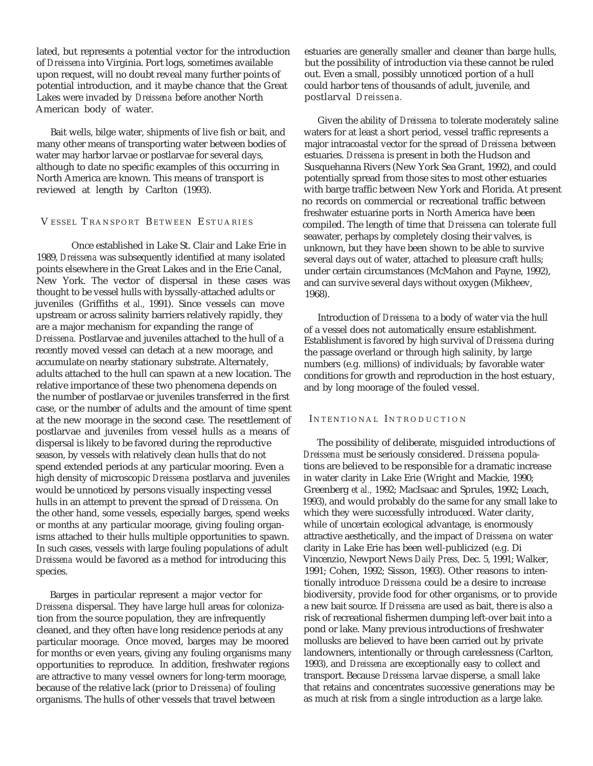lated, but represents a potential vector for the introduction of *Dreissena* into Virginia. Port logs, sometimes available upon request, will no doubt reveal many further points of potential introduction, and it maybe chance that the Great Lakes were invaded by *Dreissena* before another North American body of water.

Bait wells, bilge water, shipments of live fish or bait, and many other means of transporting water between bodies of water may harbor larvae or postlarvae for several days, although to date no specific examples of this occurring in North America are known. This means of transport is reviewed at length by Carlton (1993).

#### V ESSEL T RANSPORT B ETWEEN E STUARIES

Once established in Lake St. Clair and Lake Erie in 1989, *Dreissena* was subsequently identified at many isolated points elsewhere in the Great Lakes and in the Erie Canal, New York. The vector of dispersal in these cases was thought to be vessel hulls with byssally-attached adults or juveniles (Griffiths *et al.,* 1991). Since vessels can move upstream or across salinity barriers relatively rapidly, they are a major mechanism for expanding the range of *Dreissena.* Postlarvae and juveniles attached to the hull of a recently moved vessel can detach at a new moorage, and accumulate on nearby stationary substrate. Alternately, adults attached to the hull can spawn at a new location. The relative importance of these two phenomena depends on the number of postlarvae or juveniles transferred in the first case, or the number of adults and the amount of time spent at the new moorage in the second case. The resettlement of postlarvae and juveniles from vessel hulls as a means of dispersal is likely to be favored during the reproductive season, by vessels with relatively clean hulls that do not spend extended periods at any particular mooring. Even a high density of microscopic *Dreissena* postlarva and juveniles would be unnoticed by persons visually inspecting vessel hulls in an attempt to prevent the spread of *Dreissena.* On the other hand, some vessels, especially barges, spend weeks or months at any particular moorage, giving fouling organisms attached to their hulls multiple opportunities to spawn. In such cases, vessels with large fouling populations of adult *Dreissena* would be favored as a method for introducing this species.

Barges in particular represent a major vector for *Dreissena* dispersal. They have large hull areas for colonization from the source population, they are infrequently cleaned, and they often have long residence periods at any particular moorage. Once moved, barges may be moored for months or even years, giving any fouling organisms many opportunities to reproduce. In addition, freshwater regions are attractive to many vessel owners for long-term moorage, because of the relative lack (prior to *Dreissena)* of fouling organisms. The hulls of other vessels that travel between

estuaries are generally smaller and cleaner than barge hulls, but the possibility of introduction via these cannot be ruled out. Even a small, possibly unnoticed portion of a hull could harbor tens of thousands of adult, juvenile, and postlarval *Dreissena.*

Given the ability of *Dreissena* to tolerate moderately saline waters for at least a short period, vessel traffic represents a major intracoastal vector for the spread of *Dreissena* between estuaries. *Dreissena* is present in both the Hudson and Susquehanna Rivers (New York Sea Grant, 1992), and could potentially spread from those sites to most other estuaries with barge traffic between New York and Florida. At present no records on commercial or recreational traffic between freshwater estuarine ports in North America have been compiled. The length of time that *Dreissena* can tolerate full seawater, perhaps by completely closing their valves, is unknown, but they have been shown to be able to survive several days out of water, attached to pleasure craft hulls; under certain circumstances (McMahon and Payne, 1992), and can survive several days without oxygen (Mikheev, 1968).

Introduction of *Dreissena* to a body of water via the hull of a vessel does not automatically ensure establishment. Establishment is favored by high survival of *Dreissena* during the passage overland or through high salinity, by large numbers (e.g. millions) of individuals; by favorable water conditions for growth and reproduction in the host estuary, and by long moorage of the fouled vessel.

#### INTENTIONAL INTRODUCTION

The possibility of deliberate, misguided introductions of *Dreissena* must be seriously considered. *Dreissena* populations are believed to be responsible for a dramatic increase in water clarity in Lake Erie (Wright and Mackie, 1990; Greenberg *et al.,* 1992; MacIsaac and Sprules, 1992; Leach, 1993), and would probably do the same for any small lake to which they were successfully introduced. Water clarity, while of uncertain ecological advantage, is enormously attractive aesthetically, and the impact of *Dreissena* on water clarity in Lake Erie has been well-publicized (e.g. Di Vincenzio, Newport News *Daily Press,* Dec. 5, 1991; Walker, 1991; Cohen, 1992; Sisson, 1993). Other reasons to intentionally introduce *Dreissena* could be a desire to increase biodiversity, provide food for other organisms, or to provide a new bait source. If *Dreissena* are used as bait, there is also a risk of recreational fishermen dumping left-over bait into a pond or lake. Many previous introductions of freshwater mollusks are believed to have been carried out by private landowners, intentionally or through carelessness (Carlton, 1993), and *Dreissena* are exceptionally easy to collect and transport. Because *Dreissena* larvae disperse, a small lake that retains and concentrates successive generations may be as much at risk from a single introduction as a large lake.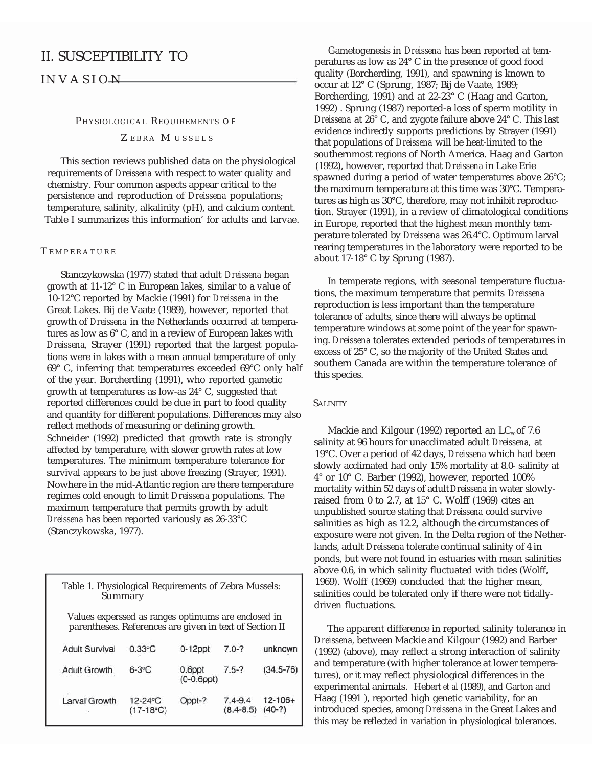### II. SUSCEPTIBILITY TO

IN VASION

#### PHYSIOLOGICAL REQUIREMENTS OF Z EBRA M USSELS

This section reviews published data on the physiological requirements of *Dreissena* with respect to water quality and chemistry. Four common aspects appear critical to the persistence and reproduction of *Dreissena* populations; temperature, salinity, alkalinity (pH), and calcium content. Table I summarizes this information' for adults and larvae.

#### **TEMPERATURE**

Stanczykowska (1977) stated that adult *Dreissena* began growth at 11-12° C in European lakes, similar to a value of 10-12°C reported by Mackie (1991) for *Dreissena* in the Great Lakes. Bij de Vaate (1989), however, reported that growth of *Dreissena* in the Netherlands occurred at temperatures as low as 6° C, and in a review of European lakes with *Dreissena,* Strayer (1991) reported that the largest populations were in lakes with a mean annual temperature of only 69° C, inferring that temperatures exceeded 69°C only half of the year. Borcherding (1991), who reported gametic growth at temperatures as low-as 24° C, suggested that reported differences could be due in part to food quality SALINITY and quantity for different populations. Differences may also reflect methods of measuring or defining growth. Schneider (1992) predicted that growth rate is strongly affected by temperature, with slower growth rates at low temperatures. The minimum temperature tolerance for survival appears to be just above freezing (Strayer, 1991). Nowhere in the mid-Atlantic region are there temperature regimes cold enough to limit *Dreissena* populations. The maximum temperature that permits growth by adult *Dreissena* has been reported variously as 26-33°C (Stanczykowska, 1977).

| Table 1. Physiological Requirements of Zebra Mussels:<br>Summary<br>Values experssed as ranges optimums are enclosed in<br>parentheses. References are given in text of Section II |                             |                            |                              |                          |
|------------------------------------------------------------------------------------------------------------------------------------------------------------------------------------|-----------------------------|----------------------------|------------------------------|--------------------------|
|                                                                                                                                                                                    |                             |                            |                              |                          |
| <b>Adult Growth</b>                                                                                                                                                                | $6-3$ °C                    | 0.6ppt<br>$(0-0.6$ ppt $)$ | $7.5 - ?$                    | $(34.5 - 76)$            |
| Larval Growth                                                                                                                                                                      | $12 - 24$ °C<br>$(17-18°C)$ | Oppt-?                     | $7.4 - 9.4$<br>$(8.4 - 8.5)$ | $12 - 106 +$<br>$(40-?)$ |

Gametogenesis in *Dreissena* has been reported at temperatures as low as 24° C in the presence of good food quality (Borcherding, 1991), and spawning is known to occur at 12° C (Sprung, 1987; Bij de Vaate, 1989; Borcherding, 1991) and at 22-23° C (Haag and Garton, 1992) . Sprung (1987) reported-a loss of sperm motility in *Dreissena* at 26° C, and zygote failure above 24° C. This last evidence indirectly supports predictions by Strayer (1991) that populations of *Dreissena* will be heat-limited to the southernmost regions of North America. Haag and Garton (1992), however, reported that *Dreissena* in Lake Erie spawned during a period of water temperatures above 26°C; the maximum temperature at this time was 30°C. Temperatures as high as 30°C, therefore, may not inhibit reproduction. Strayer (1991), in a review of climatological conditions in Europe, reported that the highest mean monthly temperature tolerated by *Dreissena* was 26.4°C. Optimum larval rearing temperatures in the laboratory were reported to be about 17-18° C by Sprung (1987).

In temperate regions, with seasonal temperature fluctuations, the maximum temperature that permits *Dreissena* reproduction is less important than the temperature tolerance of adults, since there will always be optimal temperature windows at some point of the year for spawning. *Dreissena* tolerates extended periods of temperatures in excess of 25° C, so the majority of the United States and southern Canada are within the temperature tolerance of this species.

Mackie and Kilgour (1992) reported an  $LC_{50}$  of 7.6 salinity at 96 hours for unacclimated adult *Dreissena,* at 19°C. Over a period of 42 days, *Dreissena* which had been slowly acclimated had only 15% mortality at 8.0- salinity at 4° or 10° C. Barber (1992), however, reported 100% mortality within 52 days of adult*Dreissena* in water slowlyraised from 0 to 2.7, at 15° C. Wolff (1969) cites an unpublished source stating that *Dreissena* could survive salinities as high as 12.2, although the circumstances of exposure were not given. In the Delta region of the Netherlands, adult *Dreissena* tolerate continual salinity of 4 in ponds, but were not found in estuaries with mean salinities above 0.6, in which salinity fluctuated with tides (Wolff, 1969). Wolff (1969) concluded that the higher mean, salinities could be tolerated only if there were not tidallydriven fluctuations.

The apparent difference in reported salinity tolerance in *Dreissena,* between Mackie and Kilgour (1992) and Barber (1992) (above), may reflect a strong interaction of salinity and temperature (with higher tolerance at lower temperatures), or it may reflect physiological differences in the experimental animals. Hebert *et al* (1989), and Garton and Haag (1991 ), reported high genetic variability, for an introduced species, among *Dreissena* in the Great Lakes and this may be reflected in variation in physiological tolerances.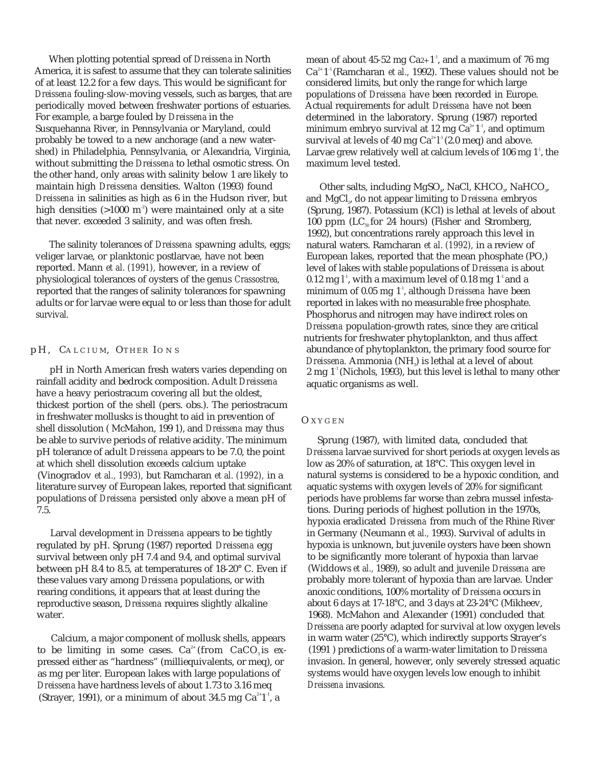When plotting potential spread of *Dreissena* in North America, it is safest to assume that they can tolerate salinities of at least 12.2 for a few days. This would be significant for *Dreissena* fouling-slow-moving vessels, such as barges, that are periodically moved between freshwater portions of estuaries. For example, a barge fouled by *Dreissena* in the Susquehanna River, in Pennsylvania or Maryland, could probably be towed to a new anchorage (and a new watershed) in Philadelphia, Pennsylvania, or Alexandria, Virginia, without submitting the *Dreissena* to lethal osmotic stress. On the other hand, only areas with salinity below 1 are likely to maintain high *Dreissena* densities. Walton (1993) found *Dreissena* in salinities as high as 6 in the Hudson river, but high densities  $(>1000 \text{ m}^2)$  were maintained only at a site that never. exceeded 3 salinity, and was often fresh.

The salinity tolerances of *Dreissena* spawning adults, eggs; veliger larvae, or planktonic postlarvae, have not been reported. Mann *et al. (1991),* however, in a review of physiological tolerances of oysters of the genus *Crassostrea,* reported that the ranges of salinity tolerances for spawning adults or for larvae were equal to or less than those for adult survival.

#### pH, CALCIUM, OTHER IONS

pH in North American fresh waters varies depending on rainfall acidity and bedrock composition. Adult *Dreissena* have a heavy periostracum covering all but the oldest, thickest portion of the shell (pers. obs.). The periostracum in freshwater mollusks is thought to aid in prevention of shell dissolution ( McMahon, 199 1), and *Dreissena* may thus be able to survive periods of relative acidity. The minimum pH tolerance of adult *Dreissena* appears to be 7.0, the point at which shell dissolution exceeds calcium uptake (Vinogradov *et al., 1993),* but Ramcharan *et al. (1992),* in a literature survey of European lakes, reported that significant populations of *Dreissena* persisted only above a mean pH of 7.5.

Larval development in *Dreissena* appears to be tightly regulated by pH. Sprung (1987) reported *Dreissena* egg survival between only pH 7.4 and 9.4, and optimal survival between pH 8.4 to 8.5, at temperatures of 18-20° C. Even if these values vary among *Dreissena* populations, or with rearing conditions, it appears that at least during the reproductive season, *Dreissena* requires slightly alkaline water.

Calcium, a major component of mollusk shells, appears to be limiting in some cases.  $Ca^{2+}$  (from  $CaCO<sub>3</sub>$  is expressed either as "hardness" (milliequivalents, or meq), or as mg per liter. European lakes with large populations of *Dreissena* have hardness levels of about 1.73 to 3.16 meq (Strayer, 1991), or a minimum of about 34.5 mg  $Ca^{2+1}$ , a

mean of about 45-52 mg  $Ca_{2+}1^{\text{T}}$ , and a maximum of 76 mg Ca2+ 1-1 (Ramcharan *et al.,* 1992). These values should not be considered limits, but only the range for which large populations of *Dreissena* have been recorded in Europe. Actual requirements for adult *Dreissena* have not been determined in the laboratory. Sprung (1987) reported minimum embryo survival at 12 mg  $Ca^{2+}1^{\frac{1}{2}}$ , and optimum survival at levels of 40 mg Ca $^{2+}$ 1' (2.0 meq) and above. Larvae grew relatively well at calcium levels of  $106$  mg  $1<sup>1</sup>$ , the maximum level tested.

Other salts, including MgSO<sub>4</sub>, NaCl, KHCO<sub>3</sub>, NaHCO<sub>3</sub>, and MgCl<sub>2</sub>, do not appear limiting to *Dreissena* embryos (Sprung, 1987). Potassium (KCl) is lethal at levels of about 100 ppm  $(LC<sub>50</sub>$  for 24 hours) (Fisher and Stromberg, 1992), but concentrations rarely approach this level in natural waters. Ramcharan *et al. (1992),* in a review of European lakes, reported that the mean phosphate (PO,) level of lakes with stable populations of *Dreissena* is about 0.12 mg  $l^4$ , with a maximum level of 0.18 mg  $1^4$  and a minimum of 0.05 mg 1<sup>-1</sup>, although *Dreissena* have been reported in lakes with no measurable free phosphate. Phosphorus and nitrogen may have indirect roles on *Dreissena* population-growth rates, since they are critical nutrients for freshwater phytoplankton, and thus affect abundance of phytoplankton, the primary food source for *Dreissena.* Ammonia (NH3) is lethal at a level of about  $2$  mg  $1<sup>-1</sup>$  (Nichols, 1993), but this level is lethal to many other aquatic organisms as well.

#### O XYGEN

Sprung (1987), with limited data, concluded that *Dreissena* larvae survived for short periods at oxygen levels as low as 20% of saturation, at 18°C. This oxygen level in natural systems is considered to be a hypoxic condition, and aquatic systems with oxygen levels of 20% for significant periods have problems far worse than zebra mussel infestations. During periods of highest pollution in the 1970s, hypoxia eradicated *Dreissena* from much of the Rhine River in Germany (Neumann *et al.,* 1993). Survival of adults in hypoxia is unknown, but juvenile oysters have been shown to be significantly more tolerant of hypoxia than larvae (Widdows *et al.,* 1989), so adult and juvenile *Dreissena* are probably more tolerant of hypoxia than are larvae. Under anoxic conditions, 100% mortality of *Dreissena* occurs in about 6 days at 17-18°C, and 3 days at 23-24°C (Mikheev, 1968). McMahon and Alexander (1991) concluded that *Dreissena* are poorly adapted for survival at low oxygen levels in warm water (25°C), which indirectly supports Strayer's (1991 ) predictions of a warm-water limitation to *Dreissena* invasion. In general, however, only severely stressed aquatic systems would have oxygen levels low enough to inhibit *Dreissena* invasions.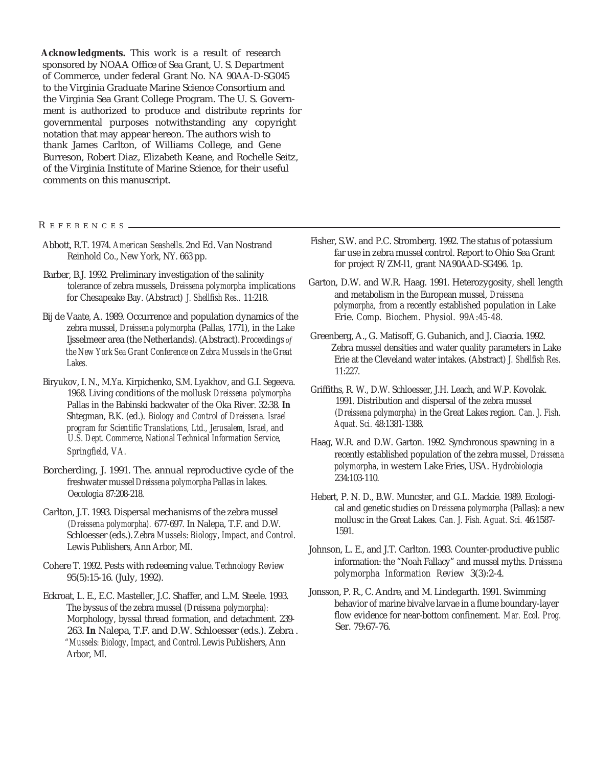**Acknowledgments.** This work is a result of research sponsored by NOAA Office of Sea Grant, U. S. Department of Commerce, under federal Grant No. NA 90AA-D-SG045 to the Virginia Graduate Marine Science Consortium and the Virginia Sea Grant College Program. The U. S. Government is authorized to produce and distribute reprints for governmental purposes notwithstanding any copyright notation that may appear hereon. The authors wish to thank James Carlton, of Williams College, and Gene Burreson, Robert Diaz, Elizabeth Keane, and Rochelle Seitz, of the Virginia Institute of Marine Science, for their useful comments on this manuscript.

R EFERENCES

- Abbott, R.T. 1974. *American Seashells.* 2nd Ed. Van Nostrand Reinhold Co., New York, NY. 663 pp.
- Barber, B.J. 1992. Preliminary investigation of the salinity tolerance of zebra mussels, *Dreissena polymorpha* implications for Chesapeake Bay. (Abstract) *J. Shellfish Res..* 11:218.
- Bij de Vaate, A. 1989. Occurrence and population dynamics of the zebra mussel, *Dreissena polymorpha* (Pallas, 1771), in the Lake Ijsselmeer area (the Netherlands). (Abstract). *Proceedings of the New York Sea Grant Conference on Zebra Mussels in the Great Lakes.*
- Biryukov, I. N., M.Ya. Kirpichenko, S.M. Lyakhov, and G.I. Segeeva. 1968. Living conditions of the mollusk *Dreissena polymorpha* Pallas in the Babinski backwater of the Oka River. 32:38. **In** Shtegman, B.K. (ed.). *Biology and Control of Dreissena. Israel program for Scientific Translations, Ltd., Jerusalem, Israel, and U.S. Dept. Commerce, National Technical Information Service, Springfield, VA.*
- Borcherding, J. 1991. The. annual reproductive cycle of the freshwater mussel *Dreissena polymorpha* Pallas in lakes. Oecologia 87:208-218.
- Carlton, J.T. 1993. Dispersal mechanisms of the zebra mussel *(Dreissena polymorpha).* 677-697. In Nalepa, T.F. and D.W. Schloesser (eds.).*Zebra Mussels: Biology, Impact, and Control.* Lewis Publishers, Ann Arbor, MI.
- Cohere T. 1992. Pests with redeeming value. *Technology Review* 95(5):15-16. (July, 1992).
- Eckroat, L. E., E.C. Masteller, J.C. Shaffer, and L.M. Steele. 1993. The byssus of the zebra mussel *(Dreissena polymorpha):* Morphology, byssal thread formation, and detachment. 239- 263. **In** Nalepa, T.F. and D.W. Schloesser (eds.). Zebra . *"Mussels: Biology, Impact, and Control.*Lewis Publishers, Ann Arbor, MI.
- Fisher, S.W. and P.C. Stromberg. 1992. The status of potassium far use in zebra mussel control. Report to Ohio Sea Grant for project R/ZM-l1, grant NA90AAD-SG496. 1p.
- Garton, D.W. and W.R. Haag. 1991. Heterozygosity, shell length and metabolism in the European mussel, *Dreissena polymorpha,* from a recently established population in Lake Erie. *Comp. Biochem. Physiol. 99A:45-48.*
- Greenberg, A., G. Matisoff, G. Gubanich, and J. Ciaccia. 1992. Zebra mussel densities and water quality parameters in Lake Erie at the Cleveland water intakes. (Abstract) *J. Shellfish Res.* 11:227.
- Griffiths, R. W., D.W. Schloesser, J.H. Leach, and W.P. Kovolak. 1991. Distribution and dispersal of the zebra mussel *(Dreissena polymorpha)* in the Great Lakes region. *Can. J. Fish. Aquat. Sci.* 48:1381-1388.
- Haag, W.R. and D.W. Garton. 1992. Synchronous spawning in a recently established population of the zebra mussel, *Dreissena polymorpha,* in western Lake Eries, USA. *Hydrobiologia* 234:103-110.
- Hebert, P. N. D., B.W. Muncster, and G.L. Mackie. 1989. Ecological and genetic studies on *Dreissena polymorpha* (Pallas): a new mollusc in the Great Lakes. *Can. J. Fish. Aguat. Sci.* 46:1587- 1591.
- Johnson, L. E., and J.T. Carlton. 1993. Counter-productive public information: the "Noah Fallacy" and mussel myths. *Dreissena polymorpha Information Review* 3(3):2-4.
- Jonsson, P. R., C. Andre, and M. Lindegarth. 1991. Swimming behavior of marine bivalve larvae in a flume boundary-layer flow evidence for near-bottom confinement. *Mar. Ecol. Prog.* Ser. 79:67-76.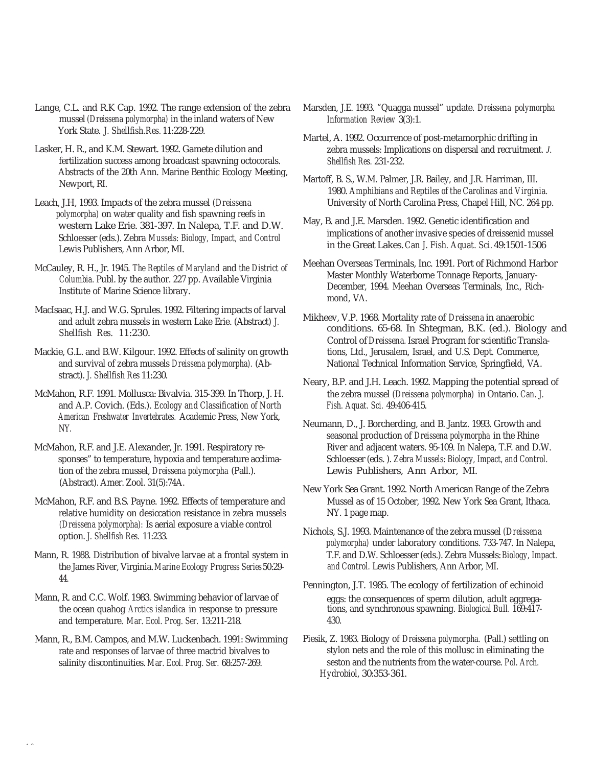- Lange, C.L. and R.K Cap. 1992. The range extension of the zebra mussel *(Dreissena polymorpha)* in the inland waters of New York State. *J. Shellfish.Res.* 11:228-229.
- Lasker, H. R., and K.M. Stewart. 1992. Gamete dilution and fertilization success among broadcast spawning octocorals. Abstracts of the 20th Ann. Marine Benthic Ecology Meeting, Newport, RI.
- Leach, J.H, 1993. Impacts of the zebra mussel *(Dreissena polymorpha)* on water quality and fish spawning reefs in western Lake Erie. 381-397. In Nalepa, T.F. and D.W. Schloesser (eds.). Zebra *Mussels: Biology, Impact, and Control* Lewis Publishers, Ann Arbor, MI.
- McCauley, R. H., Jr. 1945. *The Reptiles of Maryland* and *the District of Columbia.* Publ. by the author. 227 pp. Available Virginia Institute of Marine Science library.
- MacIsaac, H.J. and W.G. Sprules. 1992. Filtering impacts of larval and adult zebra mussels in western Lake Erie. (Abstract) *J. Shellfish Res.* 11:230.
- Mackie, G.L. and B.W. Kilgour. 1992. Effects of salinity on growth and survival of zebra mussels *Dreissena polymorpha).* (Abstract). *J. Shellfish Res* 11:230.
- McMahon, R.F. 1991. Mollusca: Bivalvia. 315-399. In Thorp, J. H. and A.P. Covich. (Eds.). *Ecology and Classification of North American Freshwater Invertebrates.* Academic Press, New York, NY.
- McMahon, R.F. and J.E. Alexander, Jr. 1991. Respiratory responses" to temperature, hypoxia and temperature acclimation of the zebra mussel, *Dreissena polymorpha* (Pall.). (Abstract). Amer. Zool. 31(5):74A.
- McMahon, R.F. and B.S. Payne. 1992. Effects of temperature and relative humidity on desiccation resistance in zebra mussels *(Dreissena polymorpha):* Is aerial exposure a viable control option. *J. Shellfish Res.* 11:233.
- Mann, R. 1988. Distribution of bivalve larvae at a frontal system in the James River, Virginia.*Marine Ecology Progress Series*50:29- 44.
- Mann, R. and C.C. Wolf. 1983. Swimming behavior of larvae of the ocean quahog *Arctics islandica* in response to pressure and temperature. *Mar. Ecol. Prog. Ser.* 13:211-218.
- Mann, R., B.M. Campos, and M.W. Luckenbach. 1991: Swimming Piesik, Z. 1983. Biology of *Dreissena polymorpha.* (Pall.) settling on salinity discontinuities. *Mar. Ecol. Prog. Ser.* 68:257-269.
- Marsden, J.E. 1993. "Quagga mussel" update. *Dreissena polymorpha Information Review* 3(3):1.
- Martel, A. 1992. Occurrence of post-metamorphic drifting in zebra mussels: Implications on dispersal and recruitment. *J. Shellfish Res.* 231-232.
- Martoff, B. S., W.M. Palmer, J.R. Bailey, and J.R. Harriman, III. 1980. *Amphibians and Reptiles of the Carolinas and Virginia.* University of North Carolina Press, Chapel Hill, NC. 264 pp.
- May, B. and J.E. Marsden. 1992. Genetic identification and implications of another invasive species of dreissenid mussel in the Great Lakes.*Can J. Fish. Aquat. Sci.* 49:1501-1506
- Meehan Overseas Terminals, Inc. 1991. Port of Richmond Harbor Master Monthly Waterborne Tonnage Reports, January-December, 1994. Meehan Overseas Terminals, Inc., Richmond, VA.
- Mikheev, V.P. 1968. Mortality rate of *Dreissena* in anaerobic conditions. 65-68. In Shtegman, B.K. (ed.). Biology and Control of *Dreissena.* Israel Program for scientific Translations, Ltd., Jerusalem, Israel, and U.S. Dept. Commerce, National Technical Information Service, Springfield, VA.
- Neary, B.P. and J.H. Leach. 1992. Mapping the potential spread of the zebra mussel *(Dreissena polymorpha)* in Ontario. *Can. J. Fish. Aquat. Sci.* 49:406-415.
- Neumann, D., J. Borcherding, and B. Jantz. 1993. Growth and seasonal production of *Dreissena polymorpha* in the Rhine River and adjacent waters. 95-109. In Nalepa, T.F. and D.W. Schloesser (eds. ). *Zebra Mussels: Biology, Impact, and Control.* Lewis Publishers, Ann Arbor, MI.
- New York Sea Grant. 1992. North American Range of the Zebra Mussel as of 15 October, 1992. New York Sea Grant, Ithaca. NY. 1 page map.
- Nichols, S.J. 1993. Maintenance of the zebra mussel *(Dreissena polymorpha)* under laboratory conditions. 733-747. In Nalepa, T.F. and D.W. Schloesser (eds.). Zebra Mussels: *Biology, Impact. and Control.* Lewis Publishers, Ann Arbor, MI.
- Pennington, J.T. 1985. The ecology of fertilization of echinoid eggs: the consequences of sperm dilution, adult aggregations, and synchronous spawning. *Biological Bull.* 169:417- 430.
- rate and responses of larvae of three mactrid bivalves to stylon nets and the role of this mollusc in eliminating the salinity discontinuities. Mar. Ecol. Prog. Ser. 68:257-269. *Hydrobiol,* 30:353-361.